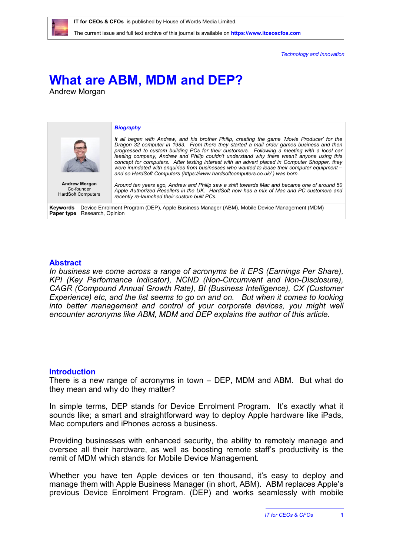

*Technology and Innovation*

# **What are ABM, MDM and DEP?**

Andrew Morgan



# **Abstract**

In business we come across a range of acronyms be it EPS (Earnings Per Share), *KPI (Key Performance Indicator), NCND (Non-Circumvent and Non-Disclosure), CAGR (Compound Annual Growth Rate), BI (Business Intelligence), CX (Customer Experience) etc, and the list seems to go on and on. But when it comes to looking into better management and control of your corporate devices, you might well encounter acronyms like ABM, MDM and DEP explains the author of this article.*

# **Introduction**

There is a new range of acronyms in town – DEP, MDM and ABM. But what do they mean and why do they matter?

In simple terms, DEP stands for Device Enrolment Program. It's exactly what it sounds like; a smart and straightforward way to deploy Apple hardware like iPads, Mac computers and iPhones across a business.

Providing businesses with enhanced security, the ability to remotely manage and oversee all their hardware, as well as boosting remote staff's productivity is the remit of MDM which stands for Mobile Device Management.

Whether you have ten Apple devices or ten thousand, it's easy to deploy and manage them with Apple Business Manager (in short, ABM). ABM replaces Apple's previous Device Enrolment Program. (DEP) and works seamlessly with mobile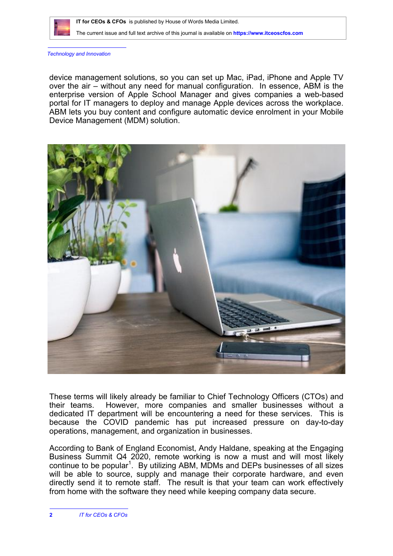

*Technology and Innovation*

device management solutions, so you can set up Mac, iPad, iPhone and Apple TV over the air – without any need for manual configuration. In essence, ABM is the enterprise version of Apple School Manager and gives companies a web-based portal for IT managers to deploy and manage Apple devices across the workplace. ABM lets you buy content and configure automatic device enrolment in your Mobile Device Management (MDM) solution.



These terms will likely already be familiar to Chief Technology Officers (CTOs) and their teams. However, more companies and smaller businesses without a dedicated IT department will be encountering a need for these services. This is because the COVID pandemic has put increased pressure on day-to-day operations, management, and organization in businesses.

According to Bank of England Economist, Andy Haldane, speaking at the Engaging Business Summit Q4 2020, remote working is now a must and will most likely continue to be popular<sup>1</sup>. By utilizing ABM, MDMs and DEPs businesses of all sizes will be able to source, supply and manage their corporate hardware, and even directly send it to remote staff. The result is that your team can work effectively from home with the software they need while keeping company data secure.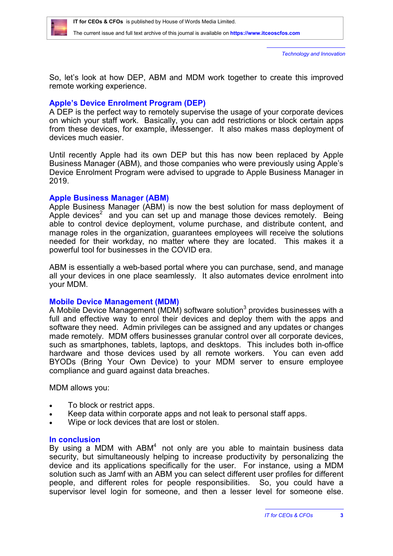

*Technology and Innovation*

So, let's look at how DEP, ABM and MDM work together to create this improved remote working experience.

# **Apple's Device Enrolment Program (DEP)**

A DEP is the perfect way to remotely supervise the usage of your corporate devices on which your staff work. Basically, you can add restrictions or block certain apps from these devices, for example, iMessenger. It also makes mass deployment of devices much easier.

Until recently Apple had its own DEP but this has now been replaced by Apple Business Manager (ABM), and those companies who were previously using Apple's Device Enrolment Program were advised to upgrade to Apple Business Manager in 2019.

# **Apple Business Manager (ABM)**

Apple Business Manager (ABM) is now the best solution for mass deployment of Apple devices<sup>2</sup> and you can set up and manage those devices remotely. Being able to control device deployment, volume purchase, and distribute content, and manage roles in the organization, guarantees employees will receive the solutions needed for their workday, no matter where they are located. This makes it a powerful tool for businesses in the COVID era.

ABM is essentially a web-based portal where you can purchase, send, and manage all your devices in one place seamlessly. It also automates device enrolment into your MDM.

# **Mobile Device Management (MDM)**

A Mobile Device Management (MDM) software solution<sup>3</sup> provides businesses with a full and effective way to enrol their devices and deploy them with the apps and software they need. Admin privileges can be assigned and any updates or changes made remotely. MDM offers businesses granular control over all corporate devices, such as smartphones, tablets, laptops, and desktops. This includes both in-office hardware and those devices used by all remote workers. You can even add BYODs (Bring Your Own Device) to your MDM server to ensure employee compliance and guard against data breaches.

MDM allows you:

- To block or restrict apps.
- Keep data within corporate apps and not leak to personal staff apps.
- Wipe or lock devices that are lost or stolen.

# **In conclusion**

By using a MDM with  $ABM<sup>4</sup>$  not only are you able to maintain business data security, but simultaneously helping to increase productivity by personalizing the device and its applications specifically for the user. For instance, using a MDM solution such as Jamf with an ABM you can select different user profiles for different people, and different roles for people responsibilities. So, you could have a supervisor level login for someone, and then a lesser level for someone else.